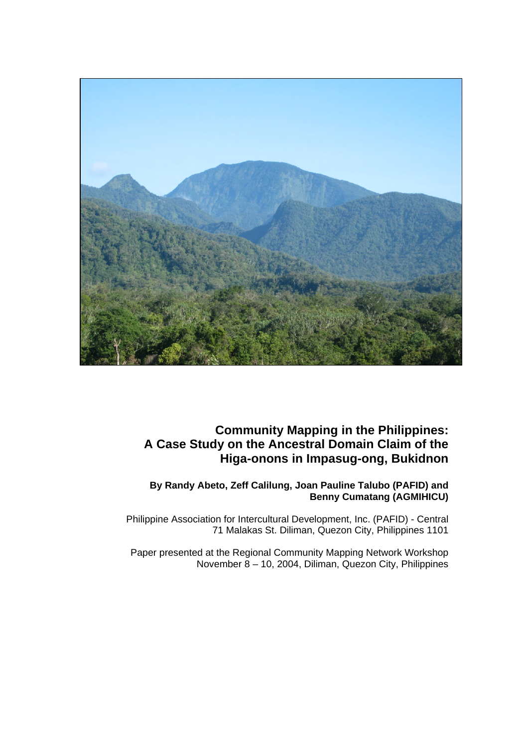

# **Community Mapping in the Philippines: A Case Study on the Ancestral Domain Claim of the Higa-onons in Impasug-ong, Bukidnon**

## **By Randy Abeto, Zeff Calilung, Joan Pauline Talubo (PAFID) and Benny Cumatang (AGMIHICU)**

Philippine Association for Intercultural Development, Inc. (PAFID) - Central 71 Malakas St. Diliman, Quezon City, Philippines 1101

Paper presented at the Regional Community Mapping Network Workshop November 8 – 10, 2004, Diliman, Quezon City, Philippines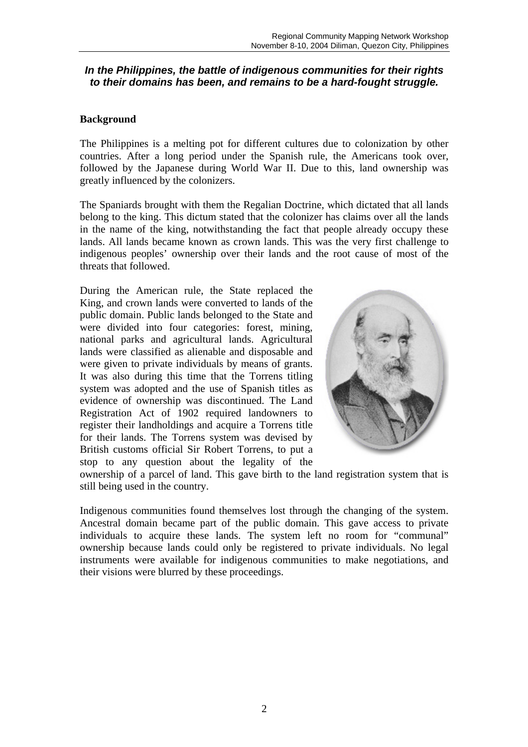## *In the Philippines, the battle of indigenous communities for their rights to their domains has been, and remains to be a hard-fought struggle.*

#### **Background**

The Philippines is a melting pot for different cultures due to colonization by other countries. After a long period under the Spanish rule, the Americans took over, followed by the Japanese during World War II. Due to this, land ownership was greatly influenced by the colonizers.

The Spaniards brought with them the Regalian Doctrine, which dictated that all lands belong to the king. This dictum stated that the colonizer has claims over all the lands in the name of the king, notwithstanding the fact that people already occupy these lands. All lands became known as crown lands. This was the very first challenge to indigenous peoples' ownership over their lands and the root cause of most of the threats that followed.

During the American rule, the State replaced the King, and crown lands were converted to lands of the public domain. Public lands belonged to the State and were divided into four categories: forest, mining, national parks and agricultural lands. Agricultural lands were classified as alienable and disposable and were given to private individuals by means of grants. It was also during this time that the Torrens titling system was adopted and the use of Spanish titles as evidence of ownership was discontinued. The Land Registration Act of 1902 required landowners to register their landholdings and acquire a Torrens title for their lands. The Torrens system was devised by British customs official Sir Robert Torrens, to put a stop to any question about the legality of the



ownership of a parcel of land. This gave birth to the land registration system that is still being used in the country.

Indigenous communities found themselves lost through the changing of the system. Ancestral domain became part of the public domain. This gave access to private individuals to acquire these lands. The system left no room for "communal" ownership because lands could only be registered to private individuals. No legal instruments were available for indigenous communities to make negotiations, and their visions were blurred by these proceedings.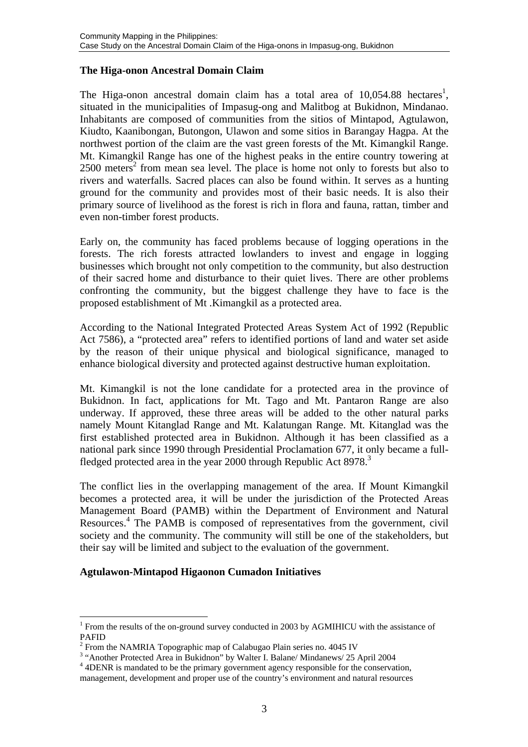#### **The Higa-onon Ancestral Domain Claim**

The Higa-onon ancestral domain claim has a total area of  $10,054.88$  hectares<sup>1</sup>, situated in the municipalities of Impasug-ong and Malitbog at Bukidnon, Mindanao. Inhabitants are composed of communities from the sitios of Mintapod, Agtulawon, Kiudto, Kaanibongan, Butongon, Ulawon and some sitios in Barangay Hagpa. At the northwest portion of the claim are the vast green forests of the Mt. Kimangkil Range. Mt. Kimangkil Range has one of the highest peaks in the entire country towering at 2500 meters<sup>2</sup> from mean sea level. The place is home not only to forests but also to rivers and waterfalls. Sacred places can also be found within. It serves as a hunting ground for the community and provides most of their basic needs. It is also their primary source of livelihood as the forest is rich in flora and fauna, rattan, timber and even non-timber forest products.

Early on, the community has faced problems because of logging operations in the forests. The rich forests attracted lowlanders to invest and engage in logging businesses which brought not only competition to the community, but also destruction of their sacred home and disturbance to their quiet lives. There are other problems confronting the community, but the biggest challenge they have to face is the proposed establishment of Mt .Kimangkil as a protected area.

According to the National Integrated Protected Areas System Act of 1992 (Republic Act 7586), a "protected area" refers to identified portions of land and water set aside by the reason of their unique physical and biological significance, managed to enhance biological diversity and protected against destructive human exploitation.

Mt. Kimangkil is not the lone candidate for a protected area in the province of Bukidnon. In fact, applications for Mt. Tago and Mt. Pantaron Range are also underway. If approved, these three areas will be added to the other natural parks namely Mount Kitanglad Range and Mt. Kalatungan Range. Mt. Kitanglad was the first established protected area in Bukidnon. Although it has been classified as a national park since 1990 through Presidential Proclamation 677, it only became a fullfledged protected area in the year 2000 through Republic Act 8978.<sup>3</sup>

The conflict lies in the overlapping management of the area. If Mount Kimangkil becomes a protected area, it will be under the jurisdiction of the Protected Areas Management Board (PAMB) within the Department of Environment and Natural Resources.<sup>4</sup> The PAMB is composed of representatives from the government, civil society and the community. The community will still be one of the stakeholders, but their say will be limited and subject to the evaluation of the government.

## **Agtulawon-Mintapod Higaonon Cumadon Initiatives**

 $\overline{a}$ 

<sup>&</sup>lt;sup>1</sup> From the results of the on-ground survey conducted in 2003 by AGMIHICU with the assistance of  $\frac{PAFID}{P_{\text{term}}}$ 

From the NAMRIA Topographic map of Calabugao Plain series no. 4045 IV  $\frac{3}{4}$  the notion protected Area in Pulislage" by Walter L Balanc/Mindegays (25

<sup>&</sup>lt;sup>3</sup> "Another Protected Area in Bukidnon" by Walter I. Balane/ Mindanews/ 25 April 2004

<sup>&</sup>lt;sup>4</sup> 4DENR is mandated to be the primary government agency responsible for the conservation, management, development and proper use of the country's environment and natural resources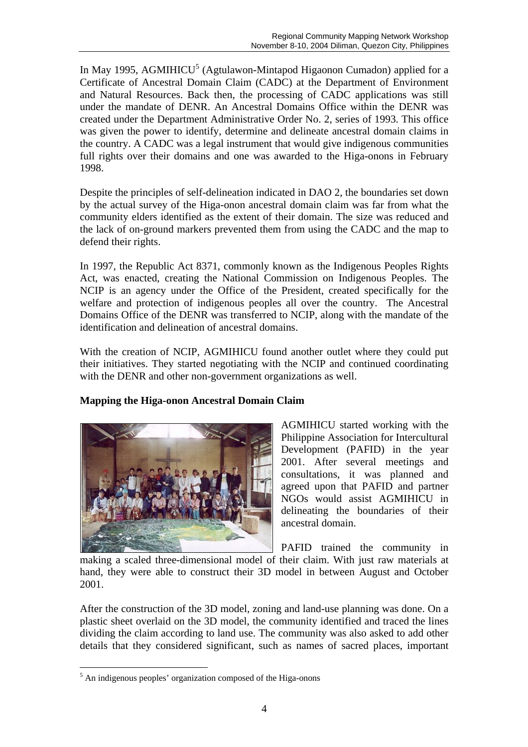In May 1995, AGMIHICU<sup>5</sup> (Agtulawon-Mintapod Higaonon Cumadon) applied for a Certificate of Ancestral Domain Claim (CADC) at the Department of Environment and Natural Resources. Back then, the processing of CADC applications was still under the mandate of DENR. An Ancestral Domains Office within the DENR was created under the Department Administrative Order No. 2, series of 1993. This office was given the power to identify, determine and delineate ancestral domain claims in the country. A CADC was a legal instrument that would give indigenous communities full rights over their domains and one was awarded to the Higa-onons in February 1998.

Despite the principles of self-delineation indicated in DAO 2, the boundaries set down by the actual survey of the Higa-onon ancestral domain claim was far from what the community elders identified as the extent of their domain. The size was reduced and the lack of on-ground markers prevented them from using the CADC and the map to defend their rights.

In 1997, the Republic Act 8371, commonly known as the Indigenous Peoples Rights Act, was enacted, creating the National Commission on Indigenous Peoples. The NCIP is an agency under the Office of the President, created specifically for the welfare and protection of indigenous peoples all over the country. The Ancestral Domains Office of the DENR was transferred to NCIP, along with the mandate of the identification and delineation of ancestral domains.

With the creation of NCIP, AGMIHICU found another outlet where they could put their initiatives. They started negotiating with the NCIP and continued coordinating with the DENR and other non-government organizations as well.

## **Mapping the Higa-onon Ancestral Domain Claim**



AGMIHICU started working with the Philippine Association for Intercultural Development (PAFID) in the year 2001. After several meetings and consultations, it was planned and agreed upon that PAFID and partner NGOs would assist AGMIHICU in delineating the boundaries of their ancestral domain.

PAFID trained the community in

making a scaled three-dimensional model of their claim. With just raw materials at hand, they were able to construct their 3D model in between August and October 2001.

After the construction of the 3D model, zoning and land-use planning was done. On a plastic sheet overlaid on the 3D model, the community identified and traced the lines dividing the claim according to land use. The community was also asked to add other details that they considered significant, such as names of sacred places, important

 $\overline{a}$ 

<sup>&</sup>lt;sup>5</sup> An indigenous peoples' organization composed of the Higa-onons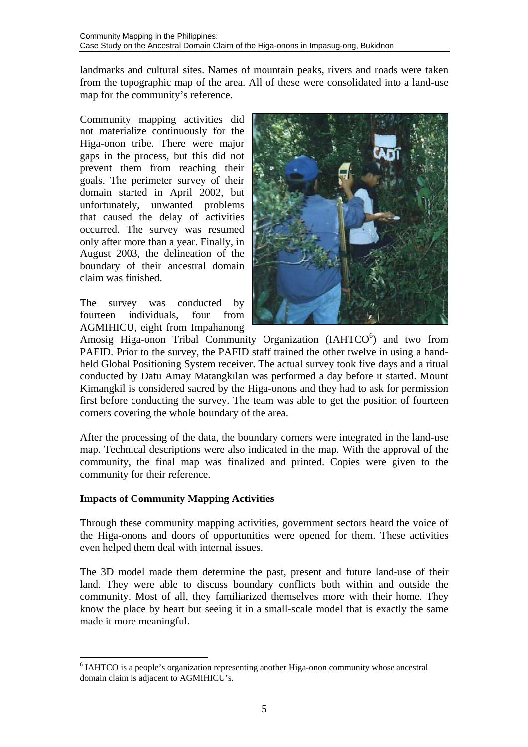landmarks and cultural sites. Names of mountain peaks, rivers and roads were taken from the topographic map of the area. All of these were consolidated into a land-use map for the community's reference.

Community mapping activities did not materialize continuously for the Higa-onon tribe. There were major gaps in the process, but this did not prevent them from reaching their goals. The perimeter survey of their domain started in April 2002, but unfortunately, unwanted problems that caused the delay of activities occurred. The survey was resumed only after more than a year. Finally, in August 2003, the delineation of the boundary of their ancestral domain claim was finished.

The survey was conducted by fourteen individuals, four from AGMIHICU, eight from Impahanong



Amosig Higa-onon Tribal Community Organization (IAHTCO<sup>6</sup>) and two from PAFID. Prior to the survey, the PAFID staff trained the other twelve in using a handheld Global Positioning System receiver. The actual survey took five days and a ritual conducted by Datu Amay Matangkilan was performed a day before it started. Mount Kimangkil is considered sacred by the Higa-onons and they had to ask for permission first before conducting the survey. The team was able to get the position of fourteen corners covering the whole boundary of the area.

After the processing of the data, the boundary corners were integrated in the land-use map. Technical descriptions were also indicated in the map. With the approval of the community, the final map was finalized and printed. Copies were given to the community for their reference.

## **Impacts of Community Mapping Activities**

 $\overline{a}$ 

Through these community mapping activities, government sectors heard the voice of the Higa-onons and doors of opportunities were opened for them. These activities even helped them deal with internal issues.

The 3D model made them determine the past, present and future land-use of their land. They were able to discuss boundary conflicts both within and outside the community. Most of all, they familiarized themselves more with their home. They know the place by heart but seeing it in a small-scale model that is exactly the same made it more meaningful.

<sup>&</sup>lt;sup>6</sup> IAHTCO is a people's organization representing another Higa-onon community whose ancestral domain claim is adjacent to AGMIHICU's.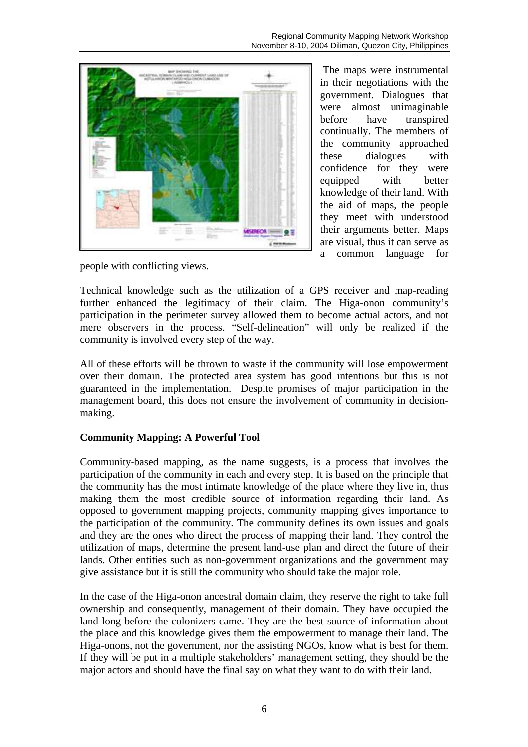

The maps were instrumental in their negotiations with the government. Dialogues that were almost unimaginable before have transpired continually. The members of the community approached these dialogues with confidence for they were equipped with better knowledge of their land. With the aid of maps, the people they meet with understood their arguments better. Maps are visual, thus it can serve as a common language for

people with conflicting views.

Technical knowledge such as the utilization of a GPS receiver and map-reading further enhanced the legitimacy of their claim. The Higa-onon community's participation in the perimeter survey allowed them to become actual actors, and not mere observers in the process. "Self-delineation" will only be realized if the community is involved every step of the way.

All of these efforts will be thrown to waste if the community will lose empowerment over their domain. The protected area system has good intentions but this is not guaranteed in the implementation. Despite promises of major participation in the management board, this does not ensure the involvement of community in decisionmaking.

## **Community Mapping: A Powerful Tool**

Community-based mapping, as the name suggests, is a process that involves the participation of the community in each and every step. It is based on the principle that the community has the most intimate knowledge of the place where they live in, thus making them the most credible source of information regarding their land. As opposed to government mapping projects, community mapping gives importance to the participation of the community. The community defines its own issues and goals and they are the ones who direct the process of mapping their land. They control the utilization of maps, determine the present land-use plan and direct the future of their lands. Other entities such as non-government organizations and the government may give assistance but it is still the community who should take the major role.

In the case of the Higa-onon ancestral domain claim, they reserve the right to take full ownership and consequently, management of their domain. They have occupied the land long before the colonizers came. They are the best source of information about the place and this knowledge gives them the empowerment to manage their land. The Higa-onons, not the government, nor the assisting NGOs, know what is best for them. If they will be put in a multiple stakeholders' management setting, they should be the major actors and should have the final say on what they want to do with their land.